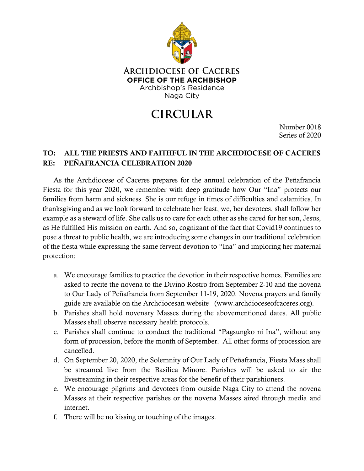

## **CIRCULAR**

Number 0018 Series of 2020

## TO: ALL THE PRIESTS AND FAITHFUL IN THE ARCHDIOCESE OF CACERES RE: PEÑAFRANCIA CELEBRATION 2020

As the Archdiocese of Caceres prepares for the annual celebration of the Peñafrancia Fiesta for this year 2020, we remember with deep gratitude how Our "Ina" protects our families from harm and sickness. She is our refuge in times of difficulties and calamities. In thanksgiving and as we look forward to celebrate her feast, we, her devotees, shall follow her example as a steward of life. She calls us to care for each other as she cared for her son, Jesus, as He fulfilled His mission on earth. And so, cognizant of the fact that Covid19 continues to pose a threat to public health, we are introducing some changes in our traditional celebration of the fiesta while expressing the same fervent devotion to "Ina" and imploring her maternal protection:

- a. We encourage families to practice the devotion in their respective homes. Families are asked to recite the novena to the Divino Rostro from September 2-10 and the novena to Our Lady of Peñafrancia from September 11-19, 2020. Novena prayers and family guide are available on the Archdiocesan website (www.archdioceseofcaceres.org).
- b. Parishes shall hold novenary Masses during the abovementioned dates. All public Masses shall observe necessary health protocols.
- c. Parishes shall continue to conduct the traditional "Pagsungko ni Ina", without any form of procession, before the month of September. All other forms of procession are cancelled.
- d. On September 20, 2020, the Solemnity of Our Lady of Peñafrancia, Fiesta Mass shall be streamed live from the Basilica Minore. Parishes will be asked to air the livestreaming in their respective areas for the benefit of their parishioners.
- e. We encourage pilgrims and devotees from outside Naga City to attend the novena Masses at their respective parishes or the novena Masses aired through media and internet.
- f. There will be no kissing or touching of the images.